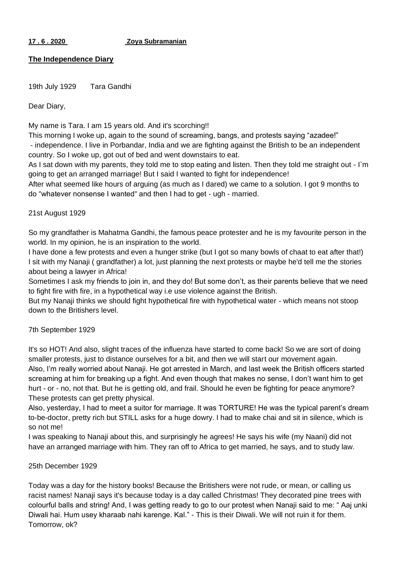### **17 . 6 . 2020 Zoya Subramanian**

## **The Independence Diary**

19th July 1929 Tara Gandhi

Dear Diary,

My name is Tara. I am 15 years old. And it's scorching!!

This morning I woke up, again to the sound of screaming, bangs, and protests saying "azadee!" - independence. I live in Porbandar, India and we are fighting against the British to be an independent country. So I woke up, got out of bed and went downstairs to eat.

As I sat down with my parents, they told me to stop eating and listen. Then they told me straight out - I`m going to get an arranged marriage! But I said I wanted to fight for independence!

After what seemed like hours of arguing (as much as I dared) we came to a solution. I got 9 months to do "whatever nonsense I wanted" and then I had to get - ugh - married.

## 21st August 1929

So my grandfather is Mahatma Gandhi, the famous peace protester and he is my favourite person in the world. In my opinion, he is an inspiration to the world.

I have done a few protests and even a hunger strike (but I got so many bowls of chaat to eat after that!) I sit with my Nanaji ( grandfather) a lot, just planning the next protests or maybe he'd tell me the stories about being a lawyer in Africa!

Sometimes I ask my friends to join in, and they do! But some don't, as their parents believe that we need to fight fire with fire, in a hypothetical way i.e use violence against the British.

But my Nanaji thinks we should fight hypothetical fire with hypothetical water - which means not stoop down to the Britishers level.

# 7th September 1929

It's so HOT! And also, slight traces of the influenza have started to come back! So we are sort of doing smaller protests, just to distance ourselves for a bit, and then we will start our movement again. Also, I'm really worried about Nanaji. He got arrested in March, and last week the British officers started screaming at him for breaking up a fight. And even though that makes no sense, I don't want him to get hurt - or - no, not that. But he is getting old, and frail. Should he even be fighting for peace anymore? These protests can get pretty physical.

Also, yesterday, I had to meet a suitor for marriage. It was TORTURE! He was the typical parent's dream to-be-doctor, pretty rich but STILL asks for a huge dowry. I had to make chai and sit in silence, which is so not me!

I was speaking to Nanaji about this, and surprisingly he agrees! He says his wife (my Naani) did not have an arranged marriage with him. They ran off to Africa to get married, he says, and to study law.

### 25th December 1929

Today was a day for the history books! Because the Britishers were not rude, or mean, or calling us racist names! Nanaji says it's because today is a day called Christmas! They decorated pine trees with colourful balls and string! And, I was getting ready to go to our protest when Nanaji said to me: " Aaj unki Diwali hai. Hum usey kharaab nahi karenge. Kal." - This is their Diwali. We will not ruin it for them. Tomorrow, ok?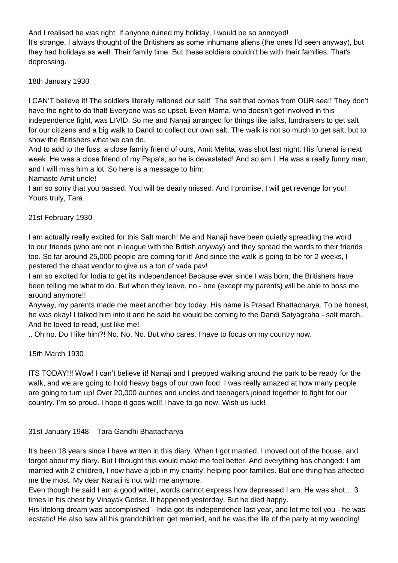And I realised he was right. If anyone ruined my holiday, I would be so annoyed! It's strange, I always thought of the Britishers as some inhumane aliens (the ones I'd seen anyway), but they had holidays as well. Their family time. But these soldiers couldn't be with their families. That's depressing.

18th January 1930

I CAN'T believe it! The soldiers literally rationed our salt! The salt that comes from OUR sea!! They don't have the right to do that! Everyone was so upset. Even Mama, who doesn't get involved in this independence fight, was LIVID. So me and Nanaji arranged for things like talks, fundraisers to get salt for our citizens and a big walk to Dandi to collect our own salt. The walk is not so much to get salt, but to show the Britishers what we can do.

And to add to the fuss, a close family friend of ours, Amit Mehta, was shot last night. His funeral is next week. He was a close friend of my Papa's, so he is devastated! And so am I. He was a really funny man, and I will miss him a lot. So here is a message to him:

Namaste Amit uncle!

I am so sorry that you passed. You will be dearly missed. And I promise, I will get revenge for you! Yours truly, Tara.

# 21st February 1930

I am actually really excited for this Salt march! Me and Nanaji have been quietly spreading the word to our friends (who are not in league with the British anyway) and they spread the words to their friends too. So far around 25,000 people are coming for it! And since the walk is going to be for 2 weeks, I pestered the chaat vendor to give us a ton of vada pav!

I am so excited for India to get its independence! Because ever since I was born, the Britishers have been telling me what to do. But when they leave, no - one (except my parents) will be able to boss me around anymore!!

Anyway, my parents made me meet another boy today. His name is Prasad Bhattacharya. To be honest, he was okay! I talked him into it and he said he would be coming to the Dandi Satyagraha - salt march. And he loved to read, just like me!

.. Oh no. Do I like him?! No. No. No. But who cares. I have to focus on my country now.

15th March 1930

ITS TODAY!!! Wow! I can't believe it! Nanaji and I prepped walking around the park to be ready for the walk, and we are going to hold heavy bags of our own food. I was really amazed at how many people are going to turn up! Over 20,000 aunties and uncles and teenagers joined together to fight for our country. I'm so proud. I hope it goes well! I have to go now. Wish us luck!

31st January 1948 Tara Gandhi Bhattacharya

It's been 18 years since I have written in this diary. When I got married, I moved out of the house, and forgot about my diary. But I thought this would make me feel better. And everything has changed: I am married with 2 children, I now have a job in my charity, helping poor families. But one thing has affected me the most. My dear Nanaji is not with me anymore.

Even though he said I am a good writer, words cannot express how depressed I am. He was shot… 3 times in his chest by Vinayak Godse. It happened yesterday. But he died happy.

His lifelong dream was accomplished - India got its independence last year, and let me tell you - he was ecstatic! He also saw all his grandchildren get married, and he was the life of the party at my wedding!